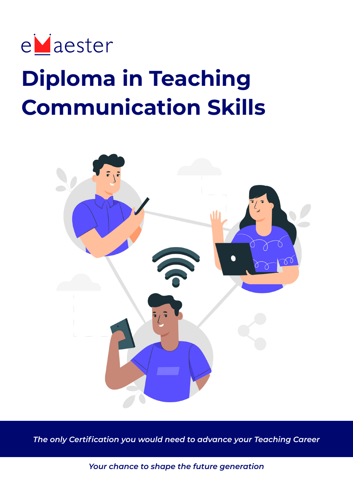

# **Diploma in Teaching Communication Skills**



*The only Certification you would need to advance your Teaching Career*

*Your chance to shape the future generation*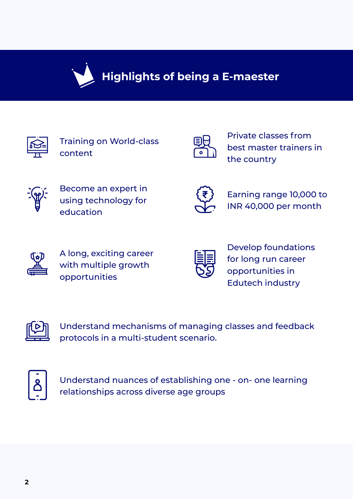

# **Highlights of being a E-maester**

Training on World-class content



Private classes from best master trainers in the country



Become an expert in using technology for education



Earning range 10,000 to INR 40,000 per month



A long, exciting career with multiple growth opportunities



Develop foundations for long run career opportunities in Edutech industry



Understand mechanisms of managing classes and feedback protocols in a multi-student scenario.



Understand nuances of establishing one - on- one learning relationships across diverse age groups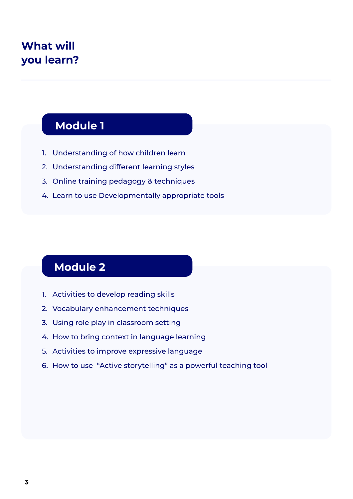# **What will you learn?**

### **Module 1**

- 1. Understanding of how children learn
- 2. Understanding different learning styles
- 3. Online training pedagogy & techniques
- 4. Learn to use Developmentally appropriate tools

# **Module 2**

- 1. Activities to develop reading skills
- 2. Vocabulary enhancement techniques
- 3. Using role play in classroom setting
- 4. How to bring context in language learning
- 5. Activities to improve expressive language
- 6. How to use "Active storytelling" as a powerful teaching tool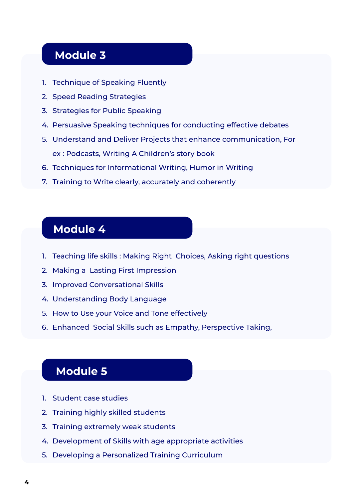### **Module 3**

- 1. Technique of Speaking Fluently
- 2. Speed Reading Strategies
- 3. Strategies for Public Speaking
- 4. Persuasive Speaking techniques for conducting effective debates
- 5. Understand and Deliver Projects that enhance communication, For ex : Podcasts, Writing A Children's story book
- 6. Techniques for Informational Writing, Humor in Writing
- 7. Training to Write clearly, accurately and coherently

### **Module 4**

- 1. Teaching life skills : Making Right Choices, Asking right questions
- 2. Making a Lasting First Impression
- 3. Improved Conversational Skills
- 4. Understanding Body Language
- 5. How to Use your Voice and Tone effectively
- 6. Enhanced Social Skills such as Empathy, Perspective Taking,

### **Module 5**

- 1. Student case studies
- 2. Training highly skilled students
- 3. Training extremely weak students
- 4. Development of Skills with age appropriate activities
- 5. Developing a Personalized Training Curriculum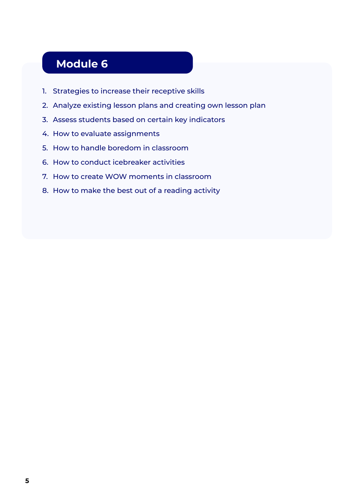# **Module 6**

- 1. Strategies to increase their receptive skills
- 2. Analyze existing lesson plans and creating own lesson plan
- 3. Assess students based on certain key indicators
- 4. How to evaluate assignments
- 5. How to handle boredom in classroom
- 6. How to conduct icebreaker activities
- 7. How to create WOW moments in classroom
- 8. How to make the best out of a reading activity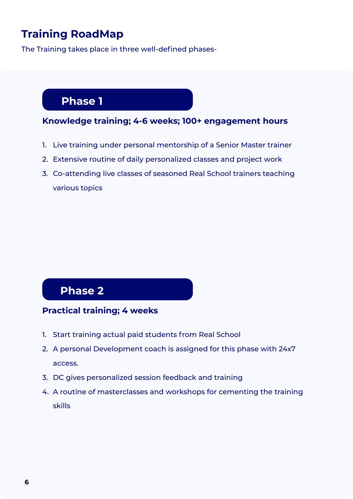# **Training RoadMap**

The Training takes place in three well-defined phases-

### **Phase 1**

# **Module 6 Knowledge training; 4-6 weeks; 100+ engagement hours**

- 1. Live training under personal mentorship of a Senior Master trainer
- 2. Extensive routine of daily personalized classes and project work
- 3. Co-attending live classes of seasoned Real School trainers teaching various topics

### **Phase 2**

#### **Practical training; 4 weeks**

- 1. Start training actual paid students from Real School
- 2. A personal Development coach is assigned for this phase with 24x7 access.
- 3. DC gives personalized session feedback and training
- 4. A routine of masterclasses and workshops for cementing the training skills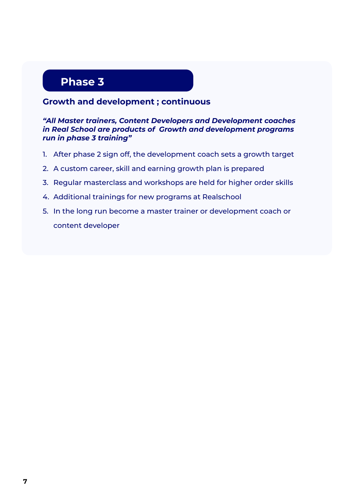### **Phase 3**

#### **Growth and development ; continuous**

#### *"All Master trainers, Content Developers and Development coaches in Real School are products of Growth and development programs run in phase 3 training"*

- 1. After phase 2 sign off, the development coach sets a growth target
- 2. A custom career, skill and earning growth plan is prepared
- 3. Regular masterclass and workshops are held for higher order skills
- 4. Additional trainings for new programs at Realschool
- 5. In the long run become a master trainer or development coach or content developer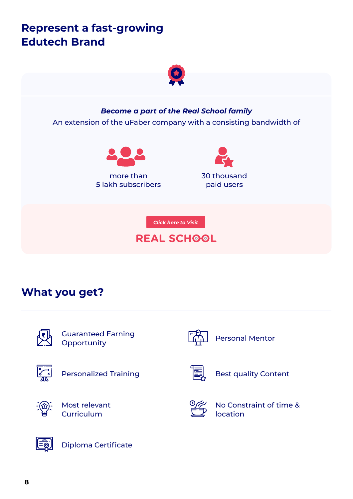# **Represent a fast-growing Edutech Brand**



*Become a part of the Real School family*

An extension of the uFaber company with a consisting bandwidth of



more than 5 lakh subscribers 30 thousand paid users

*Click here to Visit*

### **REAL SCHOOL**

# **What you get?**

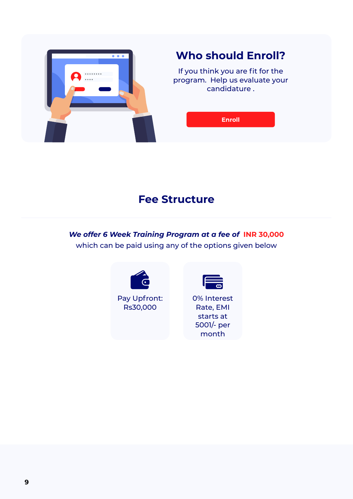

# **Who should Enroll?**

If you think you are fit for the program. Help us evaluate your candidature .

**Enroll**

### **Fee Structure**

*We offer 6 Week Training Program at a fee of* **INR 30,000** which can be paid using any of the options given below



Pay Upfront: Rs30,000



0% Interest Rate, EMI starts at 5001/- per month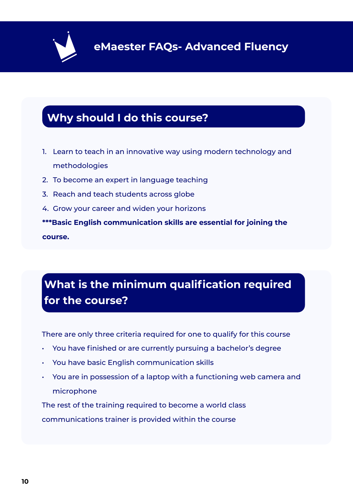

# **Why should I do this course?**

- 1. Learn to teach in an innovative way using modern technology and methodologies
- 2. To become an expert in language teaching
- 3. Reach and teach students across globe
- 4. Grow your career and widen your horizons

**\*\*\*Basic English communication skills are essential for joining the course.**

# **What is the minimum qualification required for the course?**

There are only three criteria required for one to qualify for this course

- You have finished or are currently pursuing a bachelor's degree
- You have basic English communication skills
- You are in possession of a laptop with a functioning web camera and microphone

The rest of the training required to become a world class communications trainer is provided within the course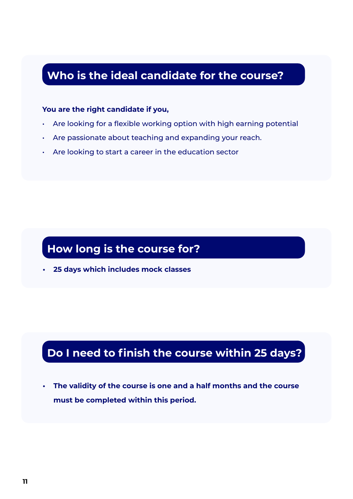### **Who is the ideal candidate for the course?**

#### **You are the right candidate if you,**

- Are looking for a flexible working option with high earning potential
- Are passionate about teaching and expanding your reach.
- Are looking to start a career in the education sector

### **How long is the course for?**

**• 25 days which includes mock classes** 

# **Do I need to finish the course within 25 days?**

**• The validity of the course is one and a half months and the course must be completed within this period.**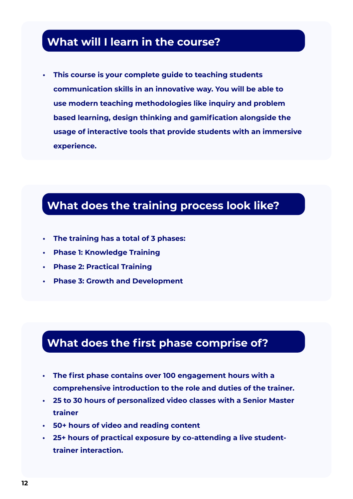### **What will I learn in the course?**

**• This course is your complete guide to teaching students communication skills in an innovative way. You will be able to use modern teaching methodologies like inquiry and problem based learning, design thinking and gamification alongside the usage of interactive tools that provide students with an immersive experience.**

### **What does the training process look like?**

- **• The training has a total of 3 phases:**
- **• Phase 1: Knowledge Training**
- **• Phase 2: Practical Training**
- **• Phase 3: Growth and Development**

# **What does the first phase comprise of?**

- **• The first phase contains over 100 engagement hours with a comprehensive introduction to the role and duties of the trainer.**
- **• 25 to 30 hours of personalized video classes with a Senior Master trainer**
- **• 50+ hours of video and reading content**
- **• 25+ hours of practical exposure by co-attending a live studenttrainer interaction.**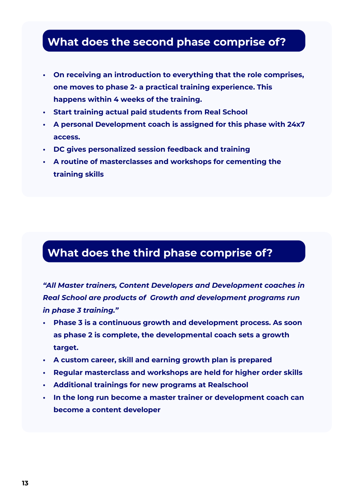### **What does the second phase comprise of?**

- **• On receiving an introduction to everything that the role comprises, one moves to phase 2- a practical training experience. This happens within 4 weeks of the training.**
- **• Start training actual paid students from Real School**
- **• A personal Development coach is assigned for this phase with 24x7 access.**
- **• DC gives personalized session feedback and training**
- **• A routine of masterclasses and workshops for cementing the training skills**

# **What does the third phase comprise of?**

*"All Master trainers, Content Developers and Development coaches in Real School are products of Growth and development programs run in phase 3 training."*

- **• Phase 3 is a continuous growth and development process. As soon as phase 2 is complete, the developmental coach sets a growth target.**
- **• A custom career, skill and earning growth plan is prepared**
- **• Regular masterclass and workshops are held for higher order skills**
- **• Additional trainings for new programs at Realschool**
- **• In the long run become a master trainer or development coach can become a content developer**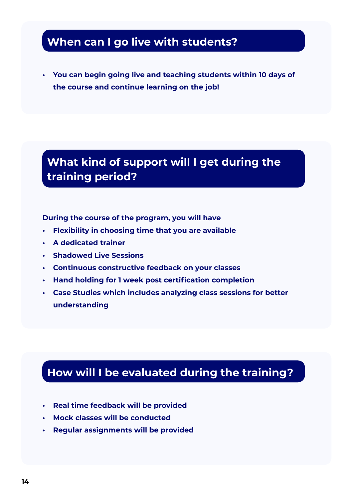### **When can I go live with students?**

**• You can begin going live and teaching students within 10 days of the course and continue learning on the job!**

# **What kind of support will I get during the training period?**

**During the course of the program, you will have**

- **• Flexibility in choosing time that you are available**
- **• A dedicated trainer**
- **• Shadowed Live Sessions**
- **• Continuous constructive feedback on your classes**
- **• Hand holding for 1 week post certification completion**
- **• Case Studies which includes analyzing class sessions for better understanding**

### **How will I be evaluated during the training?**

- **• Real time feedback will be provided**
- **• Mock classes will be conducted**
- **• Regular assignments will be provided**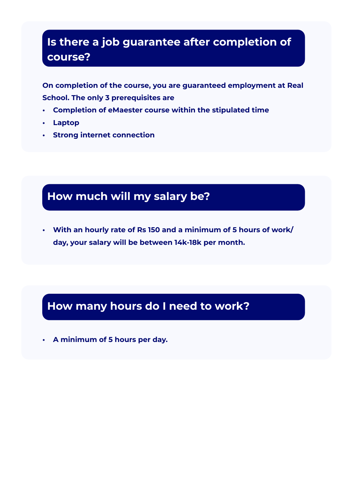# **Is there a job guarantee after completion of course?**

**On completion of the course, you are guaranteed employment at Real School. The only 3 prerequisites are**

- **• Completion of eMaester course within the stipulated time**
- **• Laptop**
- **• Strong internet connection**

# **How much will my salary be?**

**• With an hourly rate of Rs 150 and a minimum of 5 hours of work/ day, your salary will be between 14k-18k per month.**

### **How many hours do I need to work?**

**• A minimum of 5 hours per day.**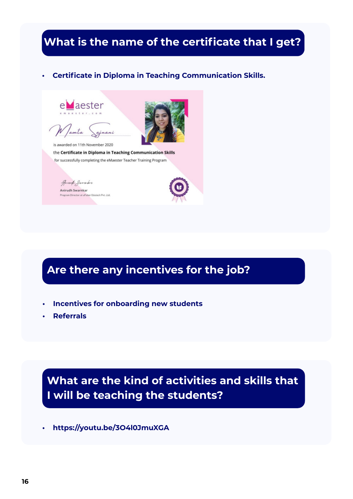### **What is the name of the certificate that I get?**

#### **• Certificate in Diploma in Teaching Communication Skills.**







is awarded on 11th November 2020 the Certificate in Diploma in Teaching Communication Skills for successfully completing the eMaester Teacher Training Program



# **Are there any incentives for the job?**

- **• Incentives for onboarding new students**
- **• Referrals**

# **What are the kind of activities and skills that I will be teaching the students?**

**• https://youtu.be/3O4l0JmuXGA**